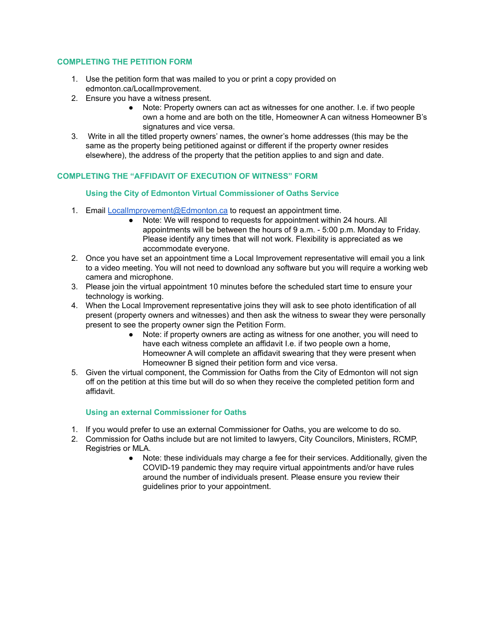### **COMPLETING THE PETITION FORM**

- 1. Use the petition form that was mailed to you or print a copy provided on edmonton.ca/LocalImprovement.
- 2. Ensure you have a witness present.
	- Note: Property owners can act as witnesses for one another. I.e. if two people own a home and are both on the title, Homeowner A can witness Homeowner B's signatures and vice versa.
- 3. Write in all the titled property owners' names, the owner's home addresses (this may be the same as the property being petitioned against or different if the property owner resides elsewhere), the address of the property that the petition applies to and sign and date.

# **COMPLETING THE "AFFIDAVIT OF EXECUTION OF WITNESS" FORM**

### **Using the City of Edmonton Virtual Commissioner of Oaths Service**

- 1. Email [LocalImprovement@Edmonton.ca](mailto:LocalImprovement@Edmonton.ca) to request an appointment time.
	- Note: We will respond to requests for appointment within 24 hours. All appointments will be between the hours of 9 a.m. - 5:00 p.m. Monday to Friday. Please identify any times that will not work. Flexibility is appreciated as we accommodate everyone.
- 2. Once you have set an appointment time a Local Improvement representative will email you a link to a video meeting. You will not need to download any software but you will require a working web camera and microphone.
- 3. Please join the virtual appointment 10 minutes before the scheduled start time to ensure your technology is working.
- 4. When the Local Improvement representative joins they will ask to see photo identification of all present (property owners and witnesses) and then ask the witness to swear they were personally present to see the property owner sign the Petition Form.
	- Note: if property owners are acting as witness for one another, you will need to have each witness complete an affidavit I.e. if two people own a home, Homeowner A will complete an affidavit swearing that they were present when Homeowner B signed their petition form and vice versa.
- 5. Given the virtual component, the Commission for Oaths from the City of Edmonton will not sign off on the petition at this time but will do so when they receive the completed petition form and affidavit.

## **Using an external Commissioner for Oaths**

- 1. If you would prefer to use an external Commissioner for Oaths, you are welcome to do so.
- 2. Commission for Oaths include but are not limited to lawyers, City Councilors, Ministers, RCMP, Registries or MLA.
	- Note: these individuals may charge a fee for their services. Additionally, given the COVID-19 pandemic they may require virtual appointments and/or have rules around the number of individuals present. Please ensure you review their guidelines prior to your appointment.